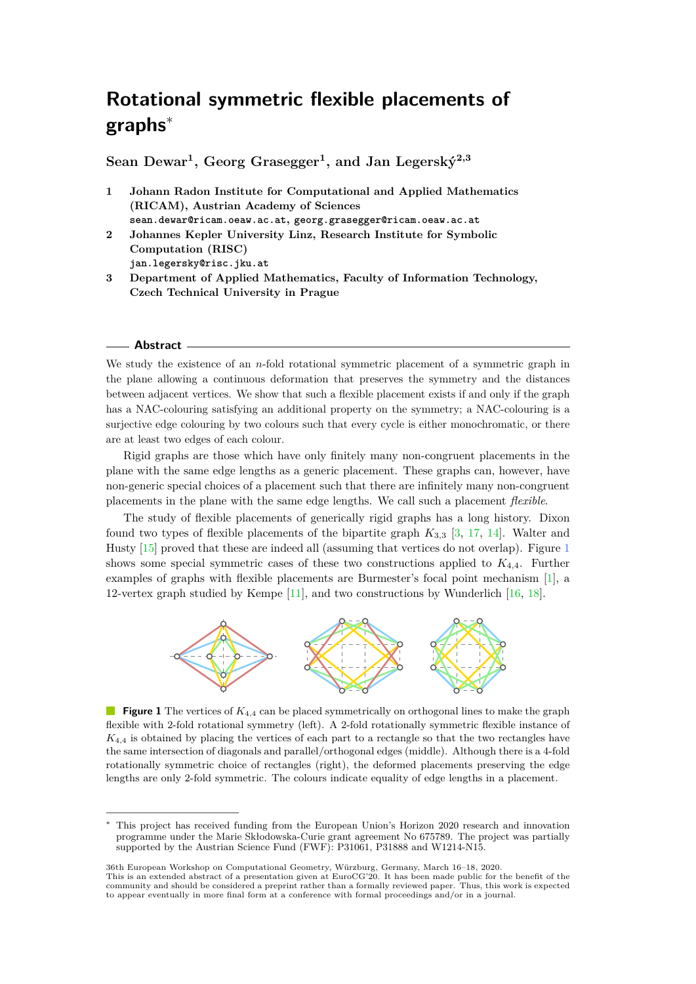# **Rotational symmetric flexible placements of graphs**<sup>∗</sup>

**Sean Dewar<sup>1</sup> , Georg Grasegger<sup>1</sup> , and Jan Legerský2,3**

- **1 Johann Radon Institute for Computational and Applied Mathematics (RICAM), Austrian Academy of Sciences sean.dewar@ricam.oeaw.ac.at, georg.grasegger@ricam.oeaw.ac.at**
- **2 Johannes Kepler University Linz, Research Institute for Symbolic Computation (RISC) jan.legersky@risc.jku.at**
- **3 Department of Applied Mathematics, Faculty of Information Technology, Czech Technical University in Prague**

#### **Abstract**

We study the existence of an *n*-fold rotational symmetric placement of a symmetric graph in the plane allowing a continuous deformation that preserves the symmetry and the distances between adjacent vertices. We show that such a flexible placement exists if and only if the graph has a NAC-colouring satisfying an additional property on the symmetry; a NAC-colouring is a surjective edge colouring by two colours such that every cycle is either monochromatic, or there are at least two edges of each colour.

Rigid graphs are those which have only finitely many non-congruent placements in the plane with the same edge lengths as a generic placement. These graphs can, however, have non-generic special choices of a placement such that there are infinitely many non-congruent placements in the plane with the same edge lengths. We call such a placement *flexible*.

The study of flexible placements of generically rigid graphs has a long history. Dixon found two types of flexible placements of the bipartite graph  $K_{3,3}$  [\[3,](#page-6-0) [17,](#page-7-0) [14\]](#page-6-1). Walter and Husty [\[15\]](#page-6-2) proved that these are indeed all (assuming that vertices do not overlap). Figure [1](#page-0-0) shows some special symmetric cases of these two constructions applied to *K*4*,*4. Further examples of graphs with flexible placements are Burmester's focal point mechanism [\[1\]](#page-6-3), a 12-vertex graph studied by Kempe [\[11\]](#page-6-4), and two constructions by Wunderlich [\[16,](#page-6-5) [18\]](#page-7-1).

<span id="page-0-0"></span>

**Figure 1** The vertices of  $K_{4,4}$  can be placed symmetrically on orthogonal lines to make the graph flexible with 2-fold rotational symmetry (left). A 2-fold rotationally symmetric flexible instance of *K*<sup>4</sup>*,*<sup>4</sup> is obtained by placing the vertices of each part to a rectangle so that the two rectangles have the same intersection of diagonals and parallel/orthogonal edges (middle). Although there is a 4-fold rotationally symmetric choice of rectangles (right), the deformed placements preserving the edge lengths are only 2-fold symmetric. The colours indicate equality of edge lengths in a placement.

This project has received funding from the European Union's Horizon 2020 research and innovation programme under the Marie Skłodowska-Curie grant agreement No 675789. The project was partially supported by the Austrian Science Fund (FWF): P31061, P31888 and W1214-N15.

<sup>36</sup>th European Workshop on Computational Geometry, Würzburg, Germany, March 16–18, 2020.

This is an extended abstract of a presentation given at EuroCG'20. It has been made public for the benefit of the<br>community and should be considered a preprint rather than a formally reviewed paper. Thus, this work is expe to appear eventually in more final form at a conference with formal proceedings and/or in a journal.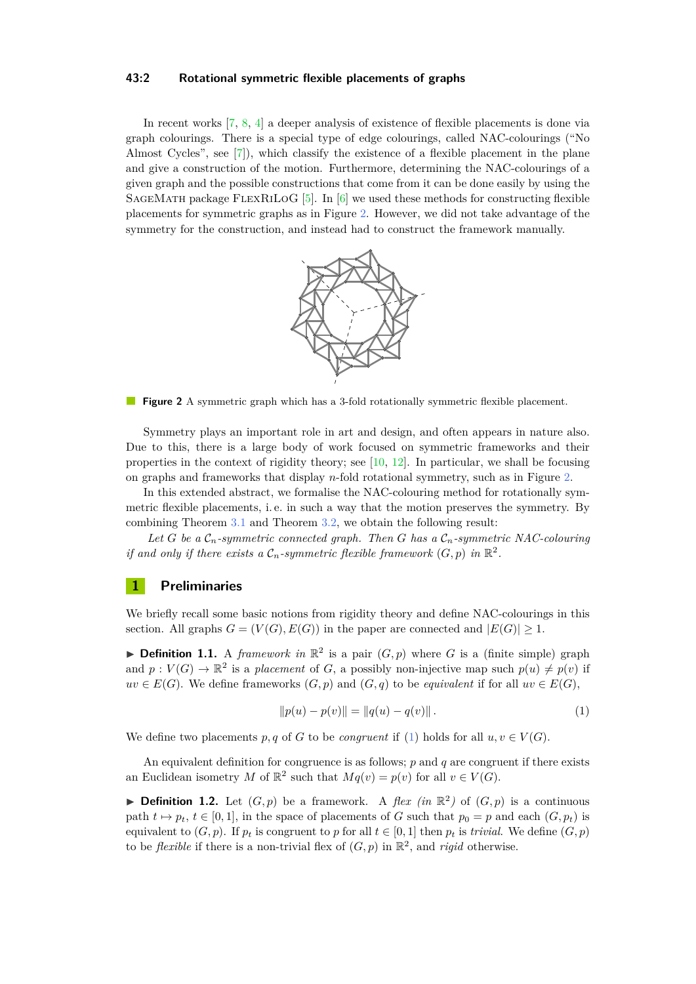#### **43:2 Rotational symmetric flexible placements of graphs**

<span id="page-1-0"></span>In recent works [\[7,](#page-6-6) [8,](#page-6-7) [4\]](#page-6-8) a deeper analysis of existence of flexible placements is done via graph colourings. There is a special type of edge colourings, called NAC-colourings ("No Almost Cycles", see [\[7\]](#page-6-6)), which classify the existence of a flexible placement in the plane and give a construction of the motion. Furthermore, determining the NAC-colourings of a given graph and the possible constructions that come from it can be done easily by using the SAGEMATH package FLEXRILOG  $[5]$ . In  $[6]$  we used these methods for constructing flexible placements for symmetric graphs as in Figure [2.](#page-1-0) However, we did not take advantage of the symmetry for the construction, and instead had to construct the framework manually.



**Figure 2** A symmetric graph which has a 3-fold rotationally symmetric flexible placement.

Symmetry plays an important role in art and design, and often appears in nature also. Due to this, there is a large body of work focused on symmetric frameworks and their properties in the context of rigidity theory; see  $[10, 12]$  $[10, 12]$  $[10, 12]$ . In particular, we shall be focusing on graphs and frameworks that display *n*-fold rotational symmetry, such as in Figure [2.](#page-1-0)

In this extended abstract, we formalise the NAC-colouring method for rotationally symmetric flexible placements, i. e. in such a way that the motion preserves the symmetry. By combining Theorem [3.1](#page-4-0) and Theorem [3.2,](#page-4-1) we obtain the following result:

Let *G* be a  $\mathcal{C}_n$ -symmetric connected graph. Then *G* has a  $\mathcal{C}_n$ -symmetric NAC-colouring *if and only if there exists a*  $C_n$ -symmetric flexible framework  $(G, p)$  in  $\mathbb{R}^2$ .

## **1 Preliminaries**

We briefly recall some basic notions from rigidity theory and define NAC-colourings in this section. All graphs  $G = (V(G), E(G))$  in the paper are connected and  $|E(G)| \geq 1$ .

**Definition 1.1.** A *framework in*  $\mathbb{R}^2$  is a pair  $(G, p)$  where *G* is a (finite simple) graph and  $p: V(G) \to \mathbb{R}^2$  is a *placement* of *G*, a possibly non-injective map such  $p(u) \neq p(v)$  if  $uv \in E(G)$ . We define frameworks  $(G, p)$  and  $(G, q)$  to be *equivalent* if for all  $uv \in E(G)$ ,

<span id="page-1-1"></span>
$$
||p(u) - p(v)|| = ||q(u) - q(v)||.
$$
\n(1)

We define two placements p, q of G to be *congruent* if [\(1\)](#page-1-1) holds for all  $u, v \in V(G)$ .

An equivalent definition for congruence is as follows; *p* and *q* are congruent if there exists an Euclidean isometry *M* of  $\mathbb{R}^2$  such that  $Mq(v) = p(v)$  for all  $v \in V(G)$ .

**Definition 1.2.** Let  $(G, p)$  be a framework. A *flex (in*  $\mathbb{R}^2$ ) of  $(G, p)$  is a continuous path  $t \mapsto p_t$ ,  $t \in [0, 1]$ , in the space of placements of *G* such that  $p_0 = p$  and each  $(G, p_t)$  is equivalent to  $(G, p)$ . If  $p_t$  is congruent to  $p$  for all  $t \in [0, 1]$  then  $p_t$  is *trivial*. We define  $(G, p)$ to be *flexible* if there is a non-trivial flex of  $(G, p)$  in  $\mathbb{R}^2$ , and *rigid* otherwise.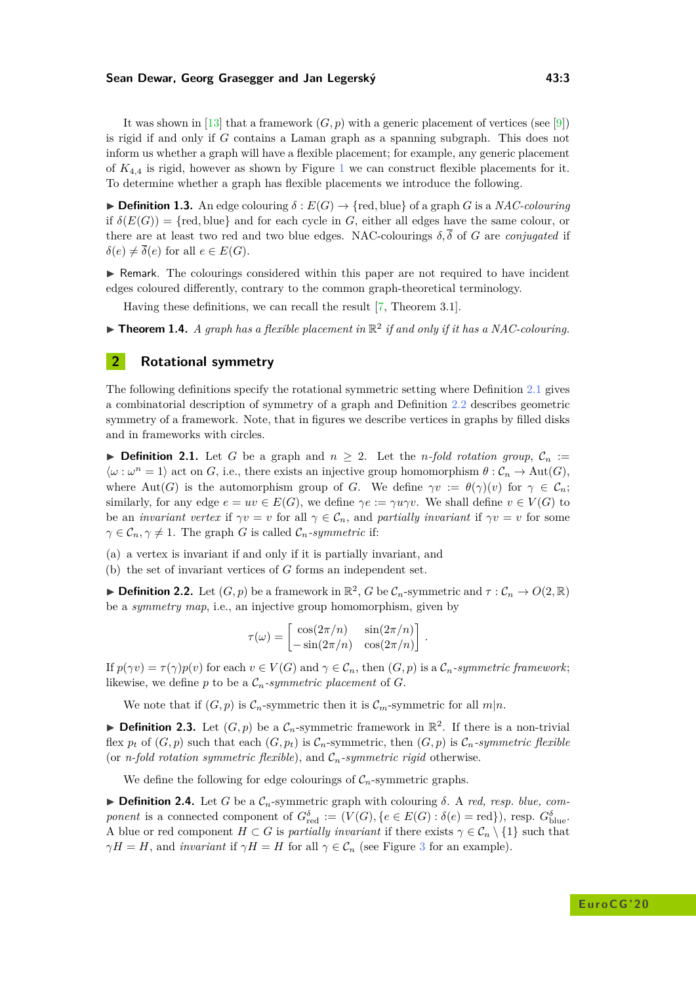#### **Sean Dewar, Georg Grasegger and Jan Legerský 43:3**

It was shown in [\[13\]](#page-6-13) that a framework  $(G, p)$  with a generic placement of vertices (see [\[9\]](#page-6-14)) is rigid if and only if *G* contains a Laman graph as a spanning subgraph. This does not inform us whether a graph will have a flexible placement; for example, any generic placement of  $K_{4,4}$  is rigid, however as shown by Figure [1](#page-0-0) we can construct flexible placements for it. To determine whether a graph has flexible placements we introduce the following.

 $\triangleright$  **Definition 1.3.** An edge colouring  $\delta$  :  $E(G) \rightarrow \{ \text{red, blue} \}$  of a graph *G* is a *NAC-colouring* if  $\delta(E(G)) = \{ \text{red, blue} \}$  and for each cycle in *G*, either all edges have the same colour, or there are at least two red and two blue edges. NAC-colourings  $\delta, \bar{\delta}$  of *G* are *conjugated* if  $\delta(e) \neq \overline{\delta}(e)$  for all  $e \in E(G)$ .

 $\blacktriangleright$  Remark. The colourings considered within this paper are not required to have incident edges coloured differently, contrary to the common graph-theoretical terminology.

Having these definitions, we can recall the result [\[7,](#page-6-6) Theorem 3.1].

**Theorem 1.4.** A graph has a flexible placement in  $\mathbb{R}^2$  if and only if it has a NAC-colouring.

## **2 Rotational symmetry**

The following definitions specify the rotational symmetric setting where Definition [2.1](#page-2-0) gives a combinatorial description of symmetry of a graph and Definition [2.2](#page-2-1) describes geometric symmetry of a framework. Note, that in figures we describe vertices in graphs by filled disks and in frameworks with circles.

<span id="page-2-0"></span>▶ **Definition 2.1.** Let *G* be a graph and  $n \geq 2$ . Let the *n*-fold rotation group,  $C_n$  :=  $\langle \omega : \omega^n = 1 \rangle$  act on *G*, i.e., there exists an injective group homomorphism  $\theta : C_n \to \text{Aut}(G)$ , where Aut(*G*) is the automorphism group of *G*. We define  $\gamma v := \theta(\gamma)(v)$  for  $\gamma \in \mathcal{C}_n$ ; similarly, for any edge  $e = uv \in E(G)$ , we define  $\gamma e := \gamma u \gamma v$ . We shall define  $v \in V(G)$  to be an *invariant vertex* if  $\gamma v = v$  for all  $\gamma \in C_n$ , and *partially invariant* if  $\gamma v = v$  for some  $\gamma \in \mathcal{C}_n$ ,  $\gamma \neq 1$ . The graph *G* is called  $\mathcal{C}_n$ *-symmetric* if:

(a) a vertex is invariant if and only if it is partially invariant, and

(b) the set of invariant vertices of *G* forms an independent set.

<span id="page-2-1"></span> $\blacktriangleright$  **Definition 2.2.** Let  $(G, p)$  be a framework in  $\mathbb{R}^2$ , *G* be  $\mathcal{C}_n$ -symmetric and  $\tau : \mathcal{C}_n \to O(2, \mathbb{R})$ be a *symmetry map*, i.e., an injective group homomorphism, given by

$$
\tau(\omega) = \begin{bmatrix} \cos(2\pi/n) & \sin(2\pi/n) \\ -\sin(2\pi/n) & \cos(2\pi/n) \end{bmatrix}.
$$

If  $p(\gamma v) = \tau(\gamma)p(v)$  for each  $v \in V(G)$  and  $\gamma \in \mathcal{C}_n$ , then  $(G, p)$  is a  $\mathcal{C}_n$ -symmetric framework; likewise, we define  $p$  to be a  $\mathcal{C}_n$ -symmetric placement of  $G$ .

We note that if  $(G, p)$  is  $\mathcal{C}_n$ -symmetric then it is  $\mathcal{C}_m$ -symmetric for all  $m|n$ .

**Definition 2.3.** Let  $(G, p)$  be a  $\mathcal{C}_n$ -symmetric framework in  $\mathbb{R}^2$ . If there is a non-trivial flex  $p_t$  of  $(G, p)$  such that each  $(G, p_t)$  is  $\mathcal{C}_n$ -symmetric, then  $(G, p)$  is  $\mathcal{C}_n$ -symmetric flexible (or *n-fold rotation symmetric flexible*), and  $C_n$ -symmetric rigid otherwise.

We define the following for edge colourings of  $C_n$ -symmetric graphs.

 $\triangleright$  **Definition 2.4.** Let *G* be a  $\mathcal{C}_n$ -symmetric graph with colouring  $\delta$ . A *red, resp. blue, component* is a connected component of  $G_{red}^{\delta} := (V(G), \{e \in E(G) : \delta(e) = \text{red}\}),$  resp.  $G_{blue}^{\delta}$ . A blue or red component  $H \subset G$  is *partially invariant* if there exists  $\gamma \in \mathcal{C}_n \setminus \{1\}$  such that *γH* = *H*, and *invariant* if  $\gamma H = H$  for all  $\gamma \in \mathcal{C}_n$  (see Figure [3](#page-3-0) for an example).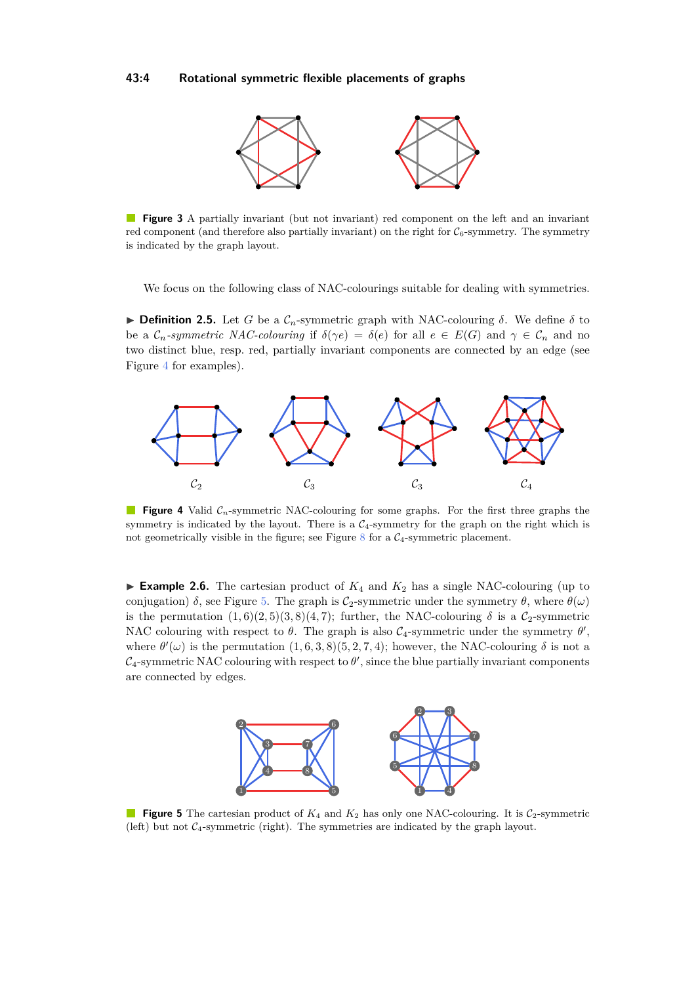#### <span id="page-3-0"></span>**43:4 Rotational symmetric flexible placements of graphs**



 $\mathcal{L}^{\text{eff}}$ **Figure 3** A partially invariant (but not invariant) red component on the left and an invariant red component (and therefore also partially invariant) on the right for  $C_6$ -symmetry. The symmetry is indicated by the graph layout.

We focus on the following class of NAC-colourings suitable for dealing with symmetries.

**Definition 2.5.** Let *G* be a  $\mathcal{C}_n$ -symmetric graph with NAC-colouring  $\delta$ . We define  $\delta$  to be a  $\mathcal{C}_n$ -symmetric NAC-colouring if  $\delta(\gamma e) = \delta(e)$  for all  $e \in E(G)$  and  $\gamma \in \mathcal{C}_n$  and no two distinct blue, resp. red, partially invariant components are connected by an edge (see Figure [4](#page-3-1) for examples).

<span id="page-3-1"></span>

**Figure 4** Valid  $\mathcal{C}_n$ -symmetric NAC-colouring for some graphs. For the first three graphs the symmetry is indicated by the layout. There is a  $C_4$ -symmetry for the graph on the right which is not geometrically visible in the figure; see Figure [8](#page-5-0) for a  $C_4$ -symmetric placement.

**Example 2.6.** The cartesian product of  $K_4$  and  $K_2$  has a single NAC-colouring (up to conjugation)  $\delta$ , see Figure [5.](#page-3-2) The graph is  $C_2$ -symmetric under the symmetry  $\theta$ , where  $\theta(\omega)$ is the permutation  $(1,6)(2,5)(3,8)(4,7)$ ; further, the NAC-colouring  $\delta$  is a C<sub>2</sub>-symmetric NAC colouring with respect to  $\theta$ . The graph is also  $C_4$ -symmetric under the symmetry  $\theta'$ , where  $\theta'(\omega)$  is the permutation  $(1, 6, 3, 8)(5, 2, 7, 4)$ ; however, the NAC-colouring  $\delta$  is not a  $\mathcal{C}_4$ -symmetric NAC colouring with respect to  $\theta'$ , since the blue partially invariant components are connected by edges.

<span id="page-3-2"></span>

**Figure 5** The cartesian product of  $K_4$  and  $K_2$  has only one NAC-colouring. It is  $C_2$ -symmetric (left) but not  $C_4$ -symmetric (right). The symmetries are indicated by the graph layout.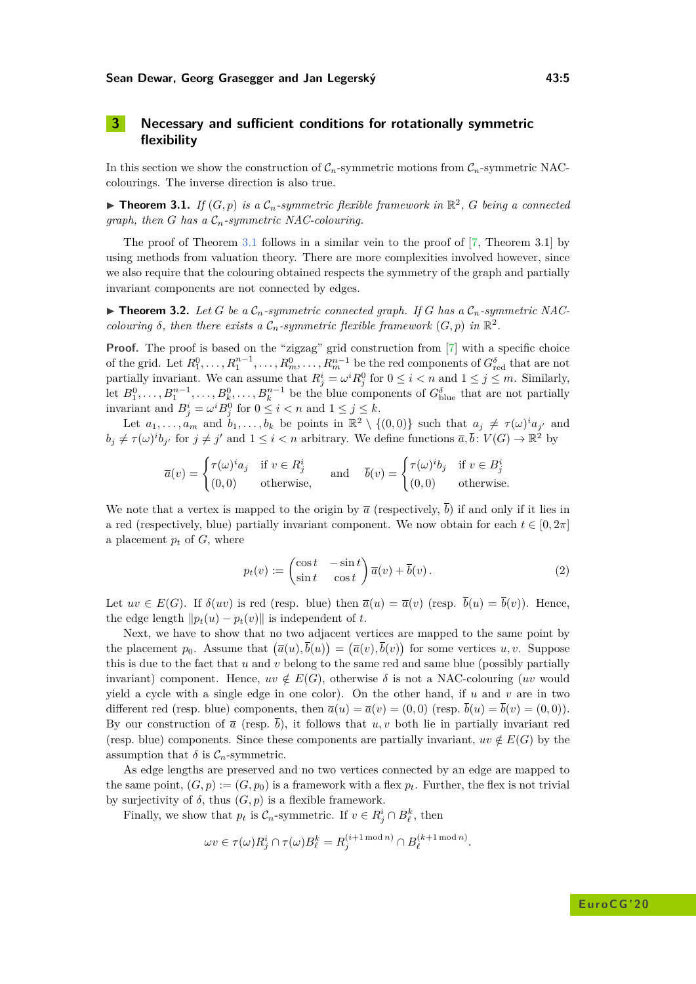## **3 Necessary and sufficient conditions for rotationally symmetric flexibility**

In this section we show the construction of  $C_n$ -symmetric motions from  $C_n$ -symmetric NACcolourings. The inverse direction is also true.

<span id="page-4-0"></span>**Fineorem 3.1.** If  $(G, p)$  is a  $\mathcal{C}_n$ -symmetric flexible framework in  $\mathbb{R}^2$ , G being a connected *graph, then G has a* C*n-symmetric NAC-colouring.*

The proof of Theorem [3.1](#page-4-0) follows in a similar vein to the proof of [\[7,](#page-6-6) Theorem 3.1] by using methods from valuation theory. There are more complexities involved however, since we also require that the colouring obtained respects the symmetry of the graph and partially invariant components are not connected by edges.

<span id="page-4-1"></span> $\blacktriangleright$  **Theorem 3.2.** Let G be a  $\mathcal{C}_n$ -symmetric connected graph. If G has a  $\mathcal{C}_n$ -symmetric NAC*colouring*  $\delta$ *, then there exists a*  $\mathcal{C}_n$ -symmetric flexible framework  $(G, p)$  in  $\mathbb{R}^2$ *.* 

**Proof.** The proof is based on the "zigzag" grid construction from [\[7\]](#page-6-6) with a specific choice of the grid. Let  $R_1^0, \ldots, R_1^{n-1}, \ldots, R_m^0, \ldots, R_m^{n-1}$  be the red components of  $G_{\text{red}}^{\delta}$  that are not partially invariant. We can assume that  $R^i_j = \omega^i R^0_j$  for  $0 \le i < n$  and  $1 \le j \le m$ . Similarly, let  $B_1^0, \ldots, B_1^{n-1}, \ldots, B_k^0, \ldots, B_k^{n-1}$  be the blue components of  $G_{\text{blue}}^{\delta}$  that are not partially invariant and  $B_j^i = \omega^i B_j^0$  for  $0 \le i < n$  and  $1 \le j \le k$ .

Let  $a_1, \ldots, a_m$  and  $b_1, \ldots, b_k$  be points in  $\mathbb{R}^2 \setminus \{(0,0)\}$  such that  $a_j \neq \tau(\omega)^i a_{j'}$  and  $b_j \neq \tau(\omega)^i b_{j'}$  for  $j \neq j'$  and  $1 \leq i < n$  arbitrary. We define functions  $\overline{a}, \overline{b}$ :  $V(G) \to \mathbb{R}^2$  by

$$
\overline{a}(v) = \begin{cases}\n\tau(\omega)^i a_j & \text{if } v \in R^i_j \\
(0,0) & \text{otherwise,}\n\end{cases} \quad \text{and} \quad \overline{b}(v) = \begin{cases}\n\tau(\omega)^i b_j & \text{if } v \in B^i_j \\
(0,0) & \text{otherwise.}\n\end{cases}
$$

We note that a vertex is mapped to the origin by  $\bar{a}$  (respectively,  $\bar{b}$ ) if and only if it lies in a red (respectively, blue) partially invariant component. We now obtain for each  $t \in [0, 2\pi]$ a placement  $p_t$  of  $G$ , where

<span id="page-4-2"></span>
$$
p_t(v) := \begin{pmatrix} \cos t & -\sin t \\ \sin t & \cos t \end{pmatrix} \overline{a}(v) + \overline{b}(v).
$$
 (2)

Let  $uv \in E(G)$ . If  $\delta(uv)$  is red (resp. blue) then  $\overline{a}(u) = \overline{a}(v)$  (resp.  $\overline{b}(u) = \overline{b}(v)$ ). Hence, the edge length  $\|p_t(u) - p_t(v)\|$  is independent of *t*.

Next, we have to show that no two adjacent vertices are mapped to the same point by the placement  $p_0$ . Assume that  $(\overline{a}(u), \overline{b}(u)) = (\overline{a}(v), \overline{b}(v))$  for some vertices  $u, v$ . Suppose this is due to the fact that *u* and *v* belong to the same red and same blue (possibly partially invariant) component. Hence,  $uv \notin E(G)$ , otherwise  $\delta$  is not a NAC-colouring (*uv* would yield a cycle with a single edge in one color). On the other hand, if *u* and *v* are in two different red (resp. blue) components, then  $\overline{a}(u) = \overline{a}(v) = (0,0)$  (resp.  $\overline{b}(u) = \overline{b}(v) = (0,0)$ ). By our construction of  $\bar{a}$  (resp.  $\bar{b}$ ), it follows that *u, v* both lie in partially invariant red (resp. blue) components. Since these components are partially invariant,  $uv \notin E(G)$  by the assumption that  $\delta$  is  $C_n$ -symmetric.

As edge lengths are preserved and no two vertices connected by an edge are mapped to the same point,  $(G, p) := (G, p_0)$  is a framework with a flex  $p_t$ . Further, the flex is not trivial by surjectivity of  $\delta$ , thus  $(G, p)$  is a flexible framework.

Finally, we show that  $p_t$  is  $\mathcal{C}_n$ -symmetric. If  $v \in R^i_j \cap B^k_\ell$ , then

$$
\omega v \in \tau(\omega) R_j^i \cap \tau(\omega) B_\ell^k = R_j^{(i+1 \bmod n)} \cap B_\ell^{(k+1 \bmod n)}.
$$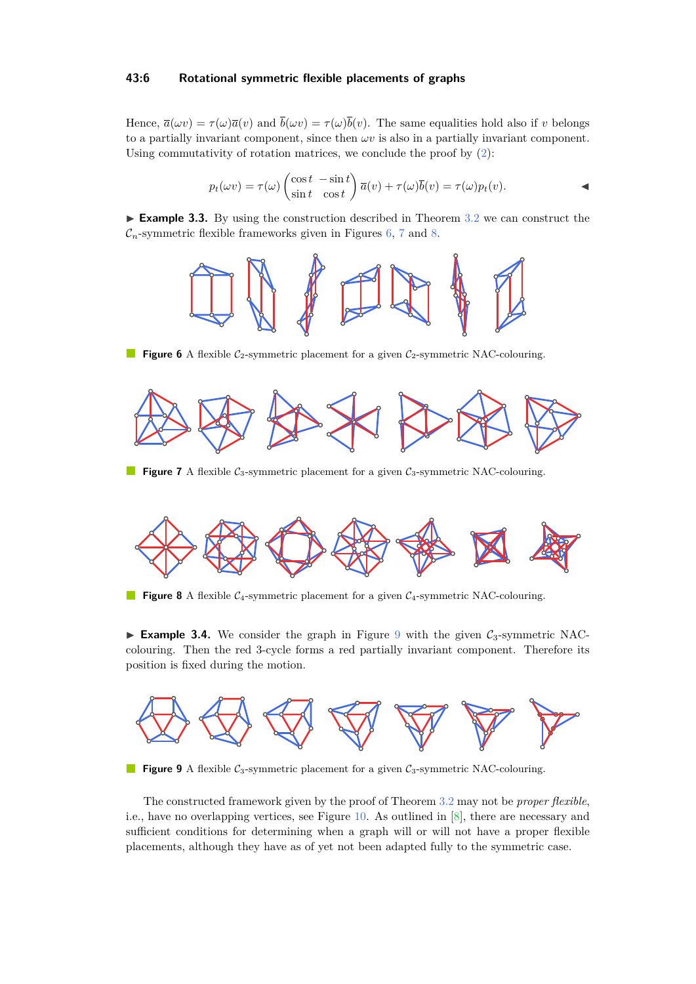### **43:6 Rotational symmetric flexible placements of graphs**

Hence,  $\overline{a}(\omega v) = \tau(\omega)\overline{a}(v)$  and  $\overline{b}(\omega v) = \tau(\omega)\overline{b}(v)$ . The same equalities hold also if *v* belongs to a partially invariant component, since then  $\omega v$  is also in a partially invariant component. Using commutativity of rotation matrices, we conclude the proof by [\(2\)](#page-4-2):

$$
p_t(\omega v) = \tau(\omega) \begin{pmatrix} \cos t & -\sin t \\ \sin t & \cos t \end{pmatrix} \overline{a}(v) + \tau(\omega) \overline{b}(v) = \tau(\omega) p_t(v).
$$

<span id="page-5-1"></span>► **Example 3.3.** By using the construction described in Theorem [3.2](#page-4-1) we can construct the  $C_n$ -symmetric flexible frameworks given in Figures [6,](#page-5-1) [7](#page-5-2) and [8.](#page-5-0)



**Figure 6** A flexible  $C_2$ -symmetric placement for a given  $C_2$ -symmetric NAC-colouring.

<span id="page-5-2"></span>

**Figure 7** A flexible  $C_3$ -symmetric placement for a given  $C_3$ -symmetric NAC-colouring.

<span id="page-5-0"></span>

**Figure 8** A flexible C<sub>4</sub>-symmetric placement for a given C<sub>4</sub>-symmetric NAC-colouring.

**Example 3.4.** We consider the graph in Figure [9](#page-5-3) with the given  $C_3$ -symmetric NACcolouring. Then the red 3-cycle forms a red partially invariant component. Therefore its position is fixed during the motion.

<span id="page-5-3"></span>

**Figure 9** A flexible  $C_3$ -symmetric placement for a given  $C_3$ -symmetric NAC-colouring.

The constructed framework given by the proof of Theorem [3.2](#page-4-1) may not be *proper flexible*, i.e., have no overlapping vertices, see Figure [10.](#page-6-15) As outlined in [\[8\]](#page-6-7), there are necessary and sufficient conditions for determining when a graph will or will not have a proper flexible placements, although they have as of yet not been adapted fully to the symmetric case.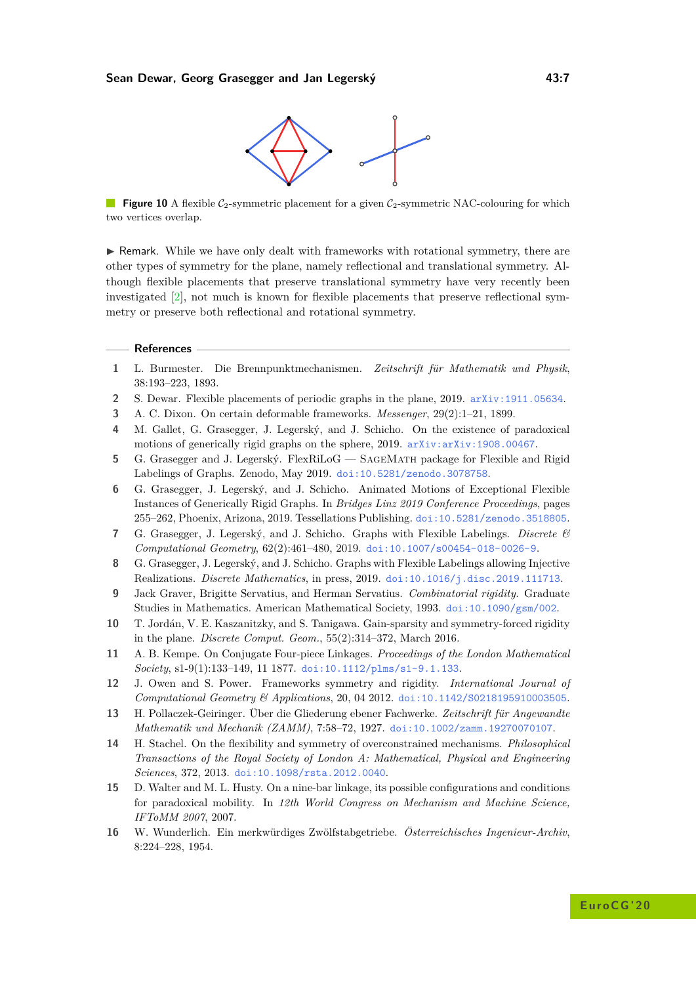

<span id="page-6-15"></span>**Figure 10** A flexible  $C_2$ -symmetric placement for a given  $C_2$ -symmetric NAC-colouring for which two vertices overlap.

 $\triangleright$  Remark. While we have only dealt with frameworks with rotational symmetry, there are other types of symmetry for the plane, namely reflectional and translational symmetry. Although flexible placements that preserve translational symmetry have very recently been investigated [\[2\]](#page-6-16), not much is known for flexible placements that preserve reflectional symmetry or preserve both reflectional and rotational symmetry.

#### **References**

- <span id="page-6-3"></span>**1** L. Burmester. Die Brennpunktmechanismen. *Zeitschrift für Mathematik und Physik*, 38:193–223, 1893.
- <span id="page-6-16"></span>**2** S. Dewar. Flexible placements of periodic graphs in the plane, 2019. [arXiv:1911.05634](http://arxiv.org/abs/1911.05634).
- <span id="page-6-0"></span>**3** A. C. Dixon. On certain deformable frameworks. *Messenger*, 29(2):1–21, 1899.
- <span id="page-6-8"></span>**4** M. Gallet, G. Grasegger, J. Legerský, and J. Schicho. On the existence of paradoxical motions of generically rigid graphs on the sphere, 2019. [arXiv:arXiv:1908.00467](http://arxiv.org/abs/arXiv:1908.00467).
- <span id="page-6-9"></span>**5** G. Grasegger and J. Legerský. FlexRiLoG — SageMath package for Flexible and Rigid Labelings of Graphs. Zenodo, May 2019. [doi:10.5281/zenodo.3078758](http://dx.doi.org/10.5281/zenodo.3078758).
- <span id="page-6-10"></span>**6** G. Grasegger, J. Legerský, and J. Schicho. Animated Motions of Exceptional Flexible Instances of Generically Rigid Graphs. In *Bridges Linz 2019 Conference Proceedings*, pages 255–262, Phoenix, Arizona, 2019. Tessellations Publishing. [doi:10.5281/zenodo.3518805](http://dx.doi.org/10.5281/zenodo.3518805).
- <span id="page-6-6"></span>**7** G. Grasegger, J. Legerský, and J. Schicho. Graphs with Flexible Labelings. *Discrete & Computational Geometry*, 62(2):461–480, 2019. [doi:10.1007/s00454-018-0026-9](http://dx.doi.org/10.1007/s00454-018-0026-9).
- <span id="page-6-7"></span>**8** G. Grasegger, J. Legerský, and J. Schicho. Graphs with Flexible Labelings allowing Injective Realizations. *Discrete Mathematics*, in press, 2019. [doi:10.1016/j.disc.2019.111713](http://dx.doi.org/10.1016/j.disc.2019.111713).
- <span id="page-6-14"></span>**9** Jack Graver, Brigitte Servatius, and Herman Servatius. *Combinatorial rigidity.* Graduate Studies in Mathematics. American Mathematical Society, 1993. [doi:10.1090/gsm/002](http://dx.doi.org/10.1090/gsm/002).
- <span id="page-6-11"></span>**10** T. Jordán, V. E. Kaszanitzky, and S. Tanigawa. Gain-sparsity and symmetry-forced rigidity in the plane. *Discrete Comput. Geom.*, 55(2):314–372, March 2016.
- <span id="page-6-4"></span>**11** A. B. Kempe. On Conjugate Four-piece Linkages. *Proceedings of the London Mathematical Society*, s1-9(1):133–149, 11 1877. [doi:10.1112/plms/s1-9.1.133](http://dx.doi.org/10.1112/plms/s1-9.1.133).
- <span id="page-6-12"></span>**12** J. Owen and S. Power. Frameworks symmetry and rigidity. *International Journal of Computational Geometry & Applications*, 20, 04 2012. [doi:10.1142/S0218195910003505](http://dx.doi.org/10.1142/S0218195910003505).
- <span id="page-6-13"></span>**13** H. Pollaczek-Geiringer. Über die Gliederung ebener Fachwerke. *Zeitschrift für Angewandte Mathematik und Mechanik (ZAMM)*, 7:58–72, 1927. [doi:10.1002/zamm.19270070107](http://dx.doi.org/10.1002/zamm.19270070107).
- <span id="page-6-1"></span>**14** H. Stachel. On the flexibility and symmetry of overconstrained mechanisms. *Philosophical Transactions of the Royal Society of London A: Mathematical, Physical and Engineering Sciences*, 372, 2013. [doi:10.1098/rsta.2012.0040](http://dx.doi.org/10.1098/rsta.2012.0040).
- <span id="page-6-2"></span>**15** D. Walter and M. L. Husty. On a nine-bar linkage, its possible configurations and conditions for paradoxical mobility. In *12th World Congress on Mechanism and Machine Science, IFToMM 2007*, 2007.
- <span id="page-6-5"></span>**16** W. Wunderlich. Ein merkwürdiges Zwölfstabgetriebe. *Österreichisches Ingenieur-Archiv*, 8:224–228, 1954.